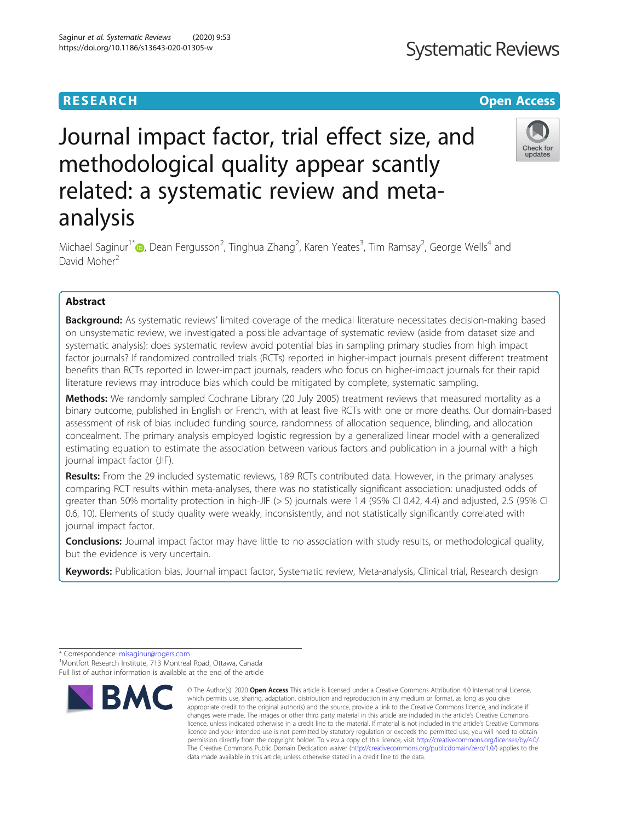# **RESEARCH CHE Open Access**

# Journal impact factor, trial effect size, and methodological quality appear scantly related: a systematic review and metaanalysis

Michael Saginur<sup>1[\\*](http://orcid.org/0000-0002-6277-9924)</sup> (**D**, Dean Fergusson<sup>2</sup>, Tinghua Zhang<sup>2</sup>, Karen Yeates<sup>3</sup>, Tim Ramsay<sup>2</sup>, George Wells<sup>4</sup> and David Moher<sup>2</sup>

## Abstract

**Background:** As systematic reviews' limited coverage of the medical literature necessitates decision-making based on unsystematic review, we investigated a possible advantage of systematic review (aside from dataset size and systematic analysis): does systematic review avoid potential bias in sampling primary studies from high impact factor journals? If randomized controlled trials (RCTs) reported in higher-impact journals present different treatment benefits than RCTs reported in lower-impact journals, readers who focus on higher-impact journals for their rapid literature reviews may introduce bias which could be mitigated by complete, systematic sampling.

Methods: We randomly sampled Cochrane Library (20 July 2005) treatment reviews that measured mortality as a binary outcome, published in English or French, with at least five RCTs with one or more deaths. Our domain-based assessment of risk of bias included funding source, randomness of allocation sequence, blinding, and allocation concealment. The primary analysis employed logistic regression by a generalized linear model with a generalized estimating equation to estimate the association between various factors and publication in a journal with a high journal impact factor (JIF).

Results: From the 29 included systematic reviews, 189 RCTs contributed data. However, in the primary analyses comparing RCT results within meta-analyses, there was no statistically significant association: unadjusted odds of greater than 50% mortality protection in high-JIF (> 5) journals were 1.4 (95% CI 0.42, 4.4) and adjusted, 2.5 (95% CI 0.6, 10). Elements of study quality were weakly, inconsistently, and not statistically significantly correlated with journal impact factor.

**Conclusions:** Journal impact factor may have little to no association with study results, or methodological quality, but the evidence is very uncertain.

Keywords: Publication bias, Journal impact factor, Systematic review, Meta-analysis, Clinical trial, Research design





<sup>\*</sup> Correspondence: [misaginur@rogers.com](mailto:misaginur@rogers.com) <sup>1</sup> Montfort Research Institute, 713 Montreal Road, Ottawa, Canada Full list of author information is available at the end of the article

<sup>©</sup> The Author(s), 2020 **Open Access** This article is licensed under a Creative Commons Attribution 4.0 International License, which permits use, sharing, adaptation, distribution and reproduction in any medium or format, as long as you give appropriate credit to the original author(s) and the source, provide a link to the Creative Commons licence, and indicate if changes were made. The images or other third party material in this article are included in the article's Creative Commons licence, unless indicated otherwise in a credit line to the material. If material is not included in the article's Creative Commons licence and your intended use is not permitted by statutory regulation or exceeds the permitted use, you will need to obtain permission directly from the copyright holder. To view a copy of this licence, visit [http://creativecommons.org/licenses/by/4.0/.](http://creativecommons.org/licenses/by/4.0/) The Creative Commons Public Domain Dedication waiver [\(http://creativecommons.org/publicdomain/zero/1.0/](http://creativecommons.org/publicdomain/zero/1.0/)) applies to the data made available in this article, unless otherwise stated in a credit line to the data.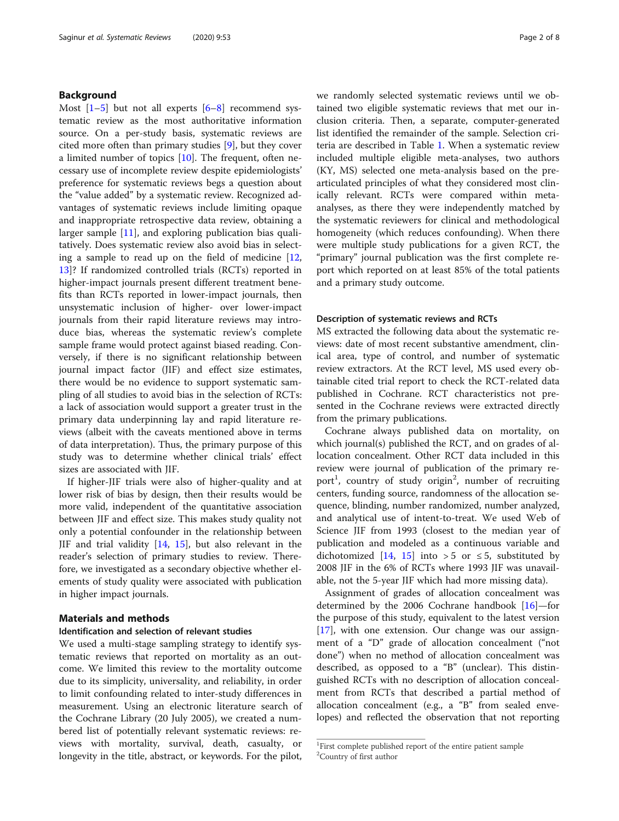#### Background

Most  $[1-5]$  $[1-5]$  $[1-5]$  $[1-5]$  $[1-5]$  but not all experts  $[6-8]$  $[6-8]$  $[6-8]$  $[6-8]$  $[6-8]$  recommend systematic review as the most authoritative information source. On a per-study basis, systematic reviews are cited more often than primary studies [\[9](#page-7-0)], but they cover a limited number of topics  $[10]$  $[10]$ . The frequent, often necessary use of incomplete review despite epidemiologists' preference for systematic reviews begs a question about the "value added" by a systematic review. Recognized advantages of systematic reviews include limiting opaque and inappropriate retrospective data review, obtaining a larger sample [[11\]](#page-7-0), and exploring publication bias qualitatively. Does systematic review also avoid bias in selecting a sample to read up on the field of medicine  $[12, 12]$  $[12, 12]$  $[12, 12]$ [13\]](#page-7-0)? If randomized controlled trials (RCTs) reported in higher-impact journals present different treatment benefits than RCTs reported in lower-impact journals, then unsystematic inclusion of higher- over lower-impact journals from their rapid literature reviews may introduce bias, whereas the systematic review's complete sample frame would protect against biased reading. Conversely, if there is no significant relationship between journal impact factor (JIF) and effect size estimates, there would be no evidence to support systematic sampling of all studies to avoid bias in the selection of RCTs: a lack of association would support a greater trust in the primary data underpinning lay and rapid literature reviews (albeit with the caveats mentioned above in terms of data interpretation). Thus, the primary purpose of this study was to determine whether clinical trials' effect sizes are associated with JIF.

If higher-JIF trials were also of higher-quality and at lower risk of bias by design, then their results would be more valid, independent of the quantitative association between JIF and effect size. This makes study quality not only a potential confounder in the relationship between JIF and trial validity [\[14](#page-7-0), [15](#page-7-0)], but also relevant in the reader's selection of primary studies to review. Therefore, we investigated as a secondary objective whether elements of study quality were associated with publication in higher impact journals.

### Materials and methods

#### Identification and selection of relevant studies

We used a multi-stage sampling strategy to identify systematic reviews that reported on mortality as an outcome. We limited this review to the mortality outcome due to its simplicity, universality, and reliability, in order to limit confounding related to inter-study differences in measurement. Using an electronic literature search of the Cochrane Library (20 July 2005), we created a numbered list of potentially relevant systematic reviews: reviews with mortality, survival, death, casualty, or longevity in the title, abstract, or keywords. For the pilot, we randomly selected systematic reviews until we obtained two eligible systematic reviews that met our inclusion criteria. Then, a separate, computer-generated list identified the remainder of the sample. Selection criteria are described in Table [1.](#page-2-0) When a systematic review included multiple eligible meta-analyses, two authors (KY, MS) selected one meta-analysis based on the prearticulated principles of what they considered most clinically relevant. RCTs were compared within metaanalyses, as there they were independently matched by the systematic reviewers for clinical and methodological homogeneity (which reduces confounding). When there were multiple study publications for a given RCT, the "primary" journal publication was the first complete report which reported on at least 85% of the total patients and a primary study outcome.

#### Description of systematic reviews and RCTs

MS extracted the following data about the systematic reviews: date of most recent substantive amendment, clinical area, type of control, and number of systematic review extractors. At the RCT level, MS used every obtainable cited trial report to check the RCT-related data published in Cochrane. RCT characteristics not presented in the Cochrane reviews were extracted directly from the primary publications.

Cochrane always published data on mortality, on which journal(s) published the RCT, and on grades of allocation concealment. Other RCT data included in this review were journal of publication of the primary report<sup>1</sup>, country of study origin<sup>2</sup>, number of recruiting centers, funding source, randomness of the allocation sequence, blinding, number randomized, number analyzed, and analytical use of intent-to-treat. We used Web of Science JIF from 1993 (closest to the median year of publication and modeled as a continuous variable and dichotomized [[14,](#page-7-0) [15](#page-7-0)] into > 5 or  $\leq$  5, substituted by 2008 JIF in the 6% of RCTs where 1993 JIF was unavailable, not the 5-year JIF which had more missing data).

Assignment of grades of allocation concealment was determined by the 2006 Cochrane handbook [[16\]](#page-7-0)—for the purpose of this study, equivalent to the latest version [[17\]](#page-7-0), with one extension. Our change was our assignment of a "D" grade of allocation concealment ("not done") when no method of allocation concealment was described, as opposed to a "B" (unclear). This distinguished RCTs with no description of allocation concealment from RCTs that described a partial method of allocation concealment (e.g., a "B" from sealed envelopes) and reflected the observation that not reporting

<sup>&</sup>lt;sup>1</sup>First complete published report of the entire patient sample <sup>2</sup>Country of first author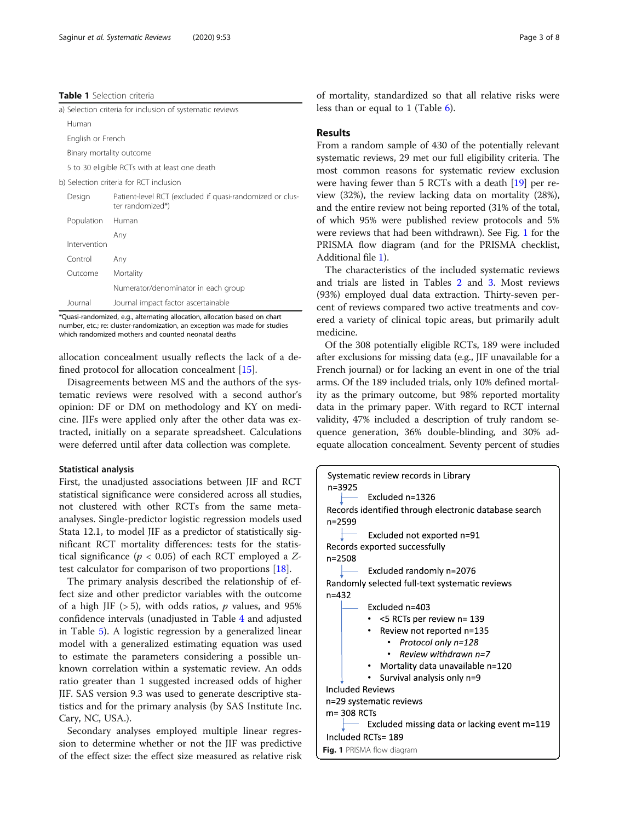#### <span id="page-2-0"></span>Table 1 Selection criteria

| a) Selection criteria for inclusion of systematic reviews |                                                                              |  |  |  |
|-----------------------------------------------------------|------------------------------------------------------------------------------|--|--|--|
| Human                                                     |                                                                              |  |  |  |
| English or French                                         |                                                                              |  |  |  |
| Binary mortality outcome                                  |                                                                              |  |  |  |
| 5 to 30 eligible RCTs with at least one death             |                                                                              |  |  |  |
|                                                           | b) Selection criteria for RCT inclusion                                      |  |  |  |
| Design                                                    | Patient-level RCT (excluded if quasi-randomized or clus-<br>ter randomized*) |  |  |  |
| Population                                                | Human                                                                        |  |  |  |
|                                                           | Any                                                                          |  |  |  |
| Intervention                                              |                                                                              |  |  |  |
| Control                                                   | Any                                                                          |  |  |  |
| Outcome                                                   | Mortality                                                                    |  |  |  |
|                                                           | Numerator/denominator in each group                                          |  |  |  |
| Journal                                                   | Journal impact factor ascertainable                                          |  |  |  |

\*Quasi-randomized, e.g., alternating allocation, allocation based on chart number, etc.; re: cluster-randomization, an exception was made for studies which randomized mothers and counted neonatal deaths

allocation concealment usually reflects the lack of a defined protocol for allocation concealment [[15](#page-7-0)].

Disagreements between MS and the authors of the systematic reviews were resolved with a second author's opinion: DF or DM on methodology and KY on medicine. JIFs were applied only after the other data was extracted, initially on a separate spreadsheet. Calculations were deferred until after data collection was complete.

#### Statistical analysis

First, the unadjusted associations between JIF and RCT statistical significance were considered across all studies, not clustered with other RCTs from the same metaanalyses. Single-predictor logistic regression models used Stata 12.1, to model JIF as a predictor of statistically significant RCT mortality differences: tests for the statistical significance ( $p < 0.05$ ) of each RCT employed a Ztest calculator for comparison of two proportions [[18](#page-7-0)].

The primary analysis described the relationship of effect size and other predictor variables with the outcome of a high JIF ( $> 5$ ), with odds ratios, p values, and 95% confidence intervals (unadjusted in Table [4](#page-4-0) and adjusted in Table [5\)](#page-4-0). A logistic regression by a generalized linear model with a generalized estimating equation was used to estimate the parameters considering a possible unknown correlation within a systematic review. An odds ratio greater than 1 suggested increased odds of higher JIF. SAS version 9.3 was used to generate descriptive statistics and for the primary analysis (by SAS Institute Inc. Cary, NC, USA.).

Secondary analyses employed multiple linear regression to determine whether or not the JIF was predictive of the effect size: the effect size measured as relative risk of mortality, standardized so that all relative risks were less than or equal to 1 (Table [6](#page-5-0)).

#### Results

From a random sample of 430 of the potentially relevant systematic reviews, 29 met our full eligibility criteria. The most common reasons for systematic review exclusion were having fewer than 5 RCTs with a death [[19](#page-7-0)] per review (32%), the review lacking data on mortality (28%), and the entire review not being reported (31% of the total, of which 95% were published review protocols and 5% were reviews that had been withdrawn). See Fig. 1 for the PRISMA flow diagram (and for the PRISMA checklist, Additional file [1](#page-6-0)).

The characteristics of the included systematic reviews and trials are listed in Tables [2](#page-3-0) and [3.](#page-3-0) Most reviews (93%) employed dual data extraction. Thirty-seven percent of reviews compared two active treatments and covered a variety of clinical topic areas, but primarily adult medicine.

Of the 308 potentially eligible RCTs, 189 were included after exclusions for missing data (e.g., JIF unavailable for a French journal) or for lacking an event in one of the trial arms. Of the 189 included trials, only 10% defined mortality as the primary outcome, but 98% reported mortality data in the primary paper. With regard to RCT internal validity, 47% included a description of truly random sequence generation, 36% double-blinding, and 30% adequate allocation concealment. Seventy percent of studies

| Systematic review records in Library<br>n=3925        |  |  |  |
|-------------------------------------------------------|--|--|--|
| Excluded $n=1326$                                     |  |  |  |
| Records identified through electronic database search |  |  |  |
| $n = 2599$                                            |  |  |  |
| Excluded not exported n=91                            |  |  |  |
| Records exported successfully                         |  |  |  |
| n=2508                                                |  |  |  |
| Excluded randomly n=2076                              |  |  |  |
| Randomly selected full-text systematic reviews        |  |  |  |
| n=432                                                 |  |  |  |
| Excluded n=403                                        |  |  |  |
| <5 RCTs per review n= 139                             |  |  |  |
| Review not reported n=135                             |  |  |  |
| Protocol only n=128                                   |  |  |  |
| $Review without known n=7$                            |  |  |  |
| Mortality data unavailable n=120                      |  |  |  |
| Survival analysis only n=9                            |  |  |  |
| Included Reviews                                      |  |  |  |
| n=29 systematic reviews                               |  |  |  |
| $m = 308$ RCTs                                        |  |  |  |
| Excluded missing data or lacking event m=119          |  |  |  |
| Included RCTs= 189                                    |  |  |  |
| Fig. 1 PRISMA flow diagram                            |  |  |  |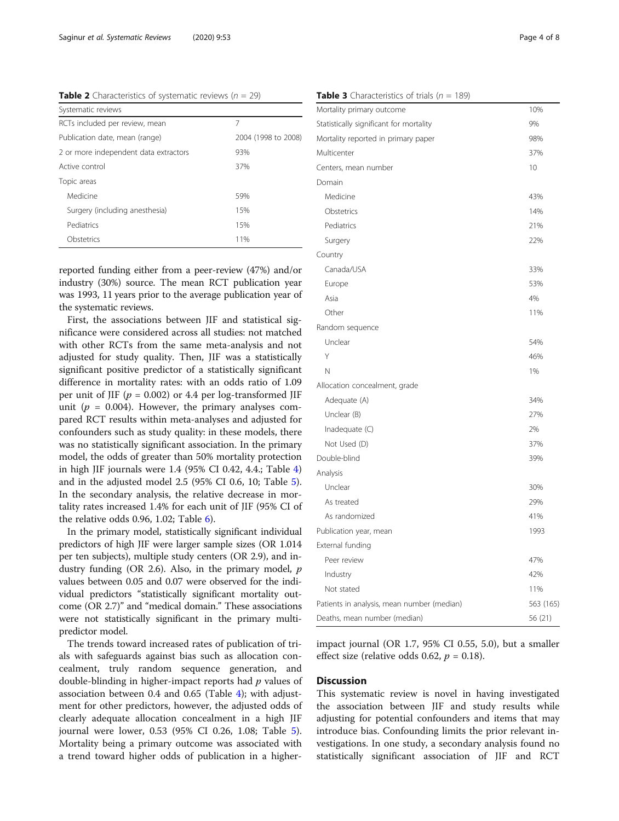<span id="page-3-0"></span>**Table 2** Characteristics of systematic reviews ( $n = 29$ )

| Systematic reviews                    |                     |  |
|---------------------------------------|---------------------|--|
| RCTs included per review, mean        | 7                   |  |
| Publication date, mean (range)        | 2004 (1998 to 2008) |  |
| 2 or more independent data extractors | 93%                 |  |
| Active control                        | 37%                 |  |
| Topic areas                           |                     |  |
| Medicine                              | 59%                 |  |
| Surgery (including anesthesia)        | 15%                 |  |
| Pediatrics                            | 15%                 |  |
| Obstetrics                            | 11%                 |  |

reported funding either from a peer-review (47%) and/or industry (30%) source. The mean RCT publication year was 1993, 11 years prior to the average publication year of the systematic reviews.

First, the associations between JIF and statistical significance were considered across all studies: not matched with other RCTs from the same meta-analysis and not adjusted for study quality. Then, JIF was a statistically significant positive predictor of a statistically significant difference in mortality rates: with an odds ratio of 1.09 per unit of JIF ( $p = 0.002$ ) or 4.4 per log-transformed JIF unit ( $p = 0.004$ ). However, the primary analyses compared RCT results within meta-analyses and adjusted for confounders such as study quality: in these models, there was no statistically significant association. In the primary model, the odds of greater than 50% mortality protection in high JIF journals were 1.4 (95% CI 0.42, 4.4.; Table [4](#page-4-0)) and in the adjusted model 2.5 (95% CI 0.6, 10; Table [5](#page-4-0)). In the secondary analysis, the relative decrease in mortality rates increased 1.4% for each unit of JIF (95% CI of the relative odds 0.96, 1.02; Table [6](#page-5-0)).

In the primary model, statistically significant individual predictors of high JIF were larger sample sizes (OR 1.014 per ten subjects), multiple study centers (OR 2.9), and industry funding (OR 2.6). Also, in the primary model,  $p$ values between 0.05 and 0.07 were observed for the individual predictors "statistically significant mortality outcome (OR 2.7)" and "medical domain." These associations were not statistically significant in the primary multipredictor model.

The trends toward increased rates of publication of trials with safeguards against bias such as allocation concealment, truly random sequence generation, and double-blinding in higher-impact reports had  $p$  values of association between 0.4 and 0.65 (Table [4](#page-4-0)); with adjustment for other predictors, however, the adjusted odds of clearly adequate allocation concealment in a high JIF journal were lower, 0.53 (95% CI 0.26, 1.08; Table [5](#page-4-0)). Mortality being a primary outcome was associated with a trend toward higher odds of publication in a higher-

#### **Table 3** Characteristics of trials ( $n = 189$ )

| Mortality primary outcome                  | 10%       |
|--------------------------------------------|-----------|
| Statistically significant for mortality    | 9%        |
| Mortality reported in primary paper        | 98%       |
| Multicenter                                | 37%       |
| Centers, mean number                       | 10        |
| Domain                                     |           |
| Medicine                                   | 43%       |
| Obstetrics                                 | 14%       |
| Pediatrics                                 | 21%       |
| Surgery                                    | 22%       |
| Country                                    |           |
| Canada/USA                                 | 33%       |
| Europe                                     | 53%       |
| Asia                                       | 4%        |
| Other                                      | 11%       |
| Random sequence                            |           |
| Unclear                                    | 54%       |
| Y                                          | 46%       |
| N                                          | 1%        |
| Allocation concealment, grade              |           |
| Adequate (A)                               | 34%       |
| Unclear (B)                                | 27%       |
| Inadequate $(C)$                           | 2%        |
| Not Used (D)                               | 37%       |
| Double-blind                               | 39%       |
| Analysis                                   |           |
| Unclear                                    | 30%       |
| As treated                                 | 29%       |
| As randomized                              | 41%       |
| Publication year, mean                     | 1993      |
| External funding                           |           |
| Peer review                                | 47%       |
| Industry                                   | 42%       |
| Not stated                                 | 11%       |
| Patients in analysis, mean number (median) | 563 (165) |
| Deaths, mean number (median)               | 56 (21)   |

impact journal (OR 1.7, 95% CI 0.55, 5.0), but a smaller effect size (relative odds 0.62,  $p = 0.18$ ).

#### **Discussion**

This systematic review is novel in having investigated the association between JIF and study results while adjusting for potential confounders and items that may introduce bias. Confounding limits the prior relevant investigations. In one study, a secondary analysis found no statistically significant association of JIF and RCT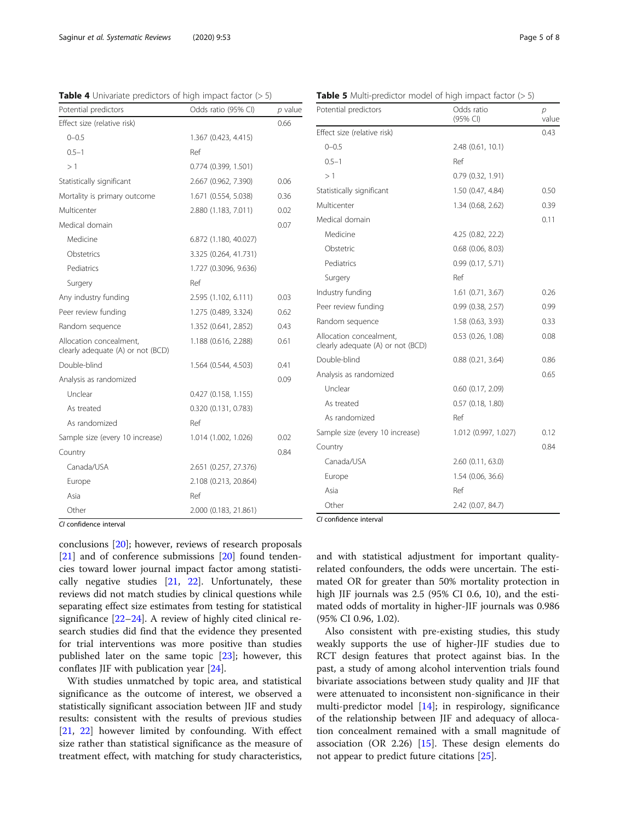<span id="page-4-0"></span>**Table 4** Univariate predictors of high impact factor  $(>5)$ 

| Potential predictors                                         | Odds ratio (95% CI)    | $p$ value |
|--------------------------------------------------------------|------------------------|-----------|
| Effect size (relative risk)                                  |                        | 0.66      |
| $0 - 0.5$                                                    | 1.367 (0.423, 4.415)   |           |
| $0.5 - 1$                                                    | Ref                    |           |
| >1                                                           | 0.774 (0.399, 1.501)   |           |
| Statistically significant                                    | 2.667 (0.962, 7.390)   | 0.06      |
| Mortality is primary outcome                                 | 1.671 (0.554, 5.038)   | 0.36      |
| Multicenter                                                  | 2.880 (1.183, 7.011)   | 0.02      |
| Medical domain                                               |                        | 0.07      |
| Medicine                                                     | 6.872 (1.180, 40.027)  |           |
| Obstetrics                                                   | 3.325 (0.264, 41.731)  |           |
| Pediatrics                                                   | 1.727 (0.3096, 9.636)  |           |
| Surgery                                                      | Ref                    |           |
| Any industry funding                                         | 2.595 (1.102, 6.111)   | 0.03      |
| Peer review funding                                          | 1.275 (0.489, 3.324)   | 0.62      |
| Random sequence                                              | 1.352 (0.641, 2.852)   | 0.43      |
| Allocation concealment,<br>clearly adequate (A) or not (BCD) | 1.188 (0.616, 2.288)   | 0.61      |
| Double-blind                                                 | 1.564 (0.544, 4.503)   | 0.41      |
| Analysis as randomized                                       |                        | 0.09      |
| Unclear                                                      | $0.427$ (0.158, 1.155) |           |
| As treated                                                   | 0.320 (0.131, 0.783)   |           |
| As randomized                                                | Ref                    |           |
| Sample size (every 10 increase)                              | 1.014 (1.002, 1.026)   | 0.02      |
| Country                                                      |                        | 0.84      |
| Canada/USA                                                   | 2.651 (0.257, 27.376)  |           |
| Europe                                                       | 2.108 (0.213, 20.864)  |           |
| Asia                                                         | Ref                    |           |
| Other                                                        | 2.000 (0.183, 21.861)  |           |

CI confidence interval

conclusions [\[20\]](#page-7-0); however, reviews of research proposals [[21\]](#page-7-0) and of conference submissions [[20\]](#page-7-0) found tendencies toward lower journal impact factor among statistically negative studies [[21](#page-7-0), [22\]](#page-7-0). Unfortunately, these reviews did not match studies by clinical questions while separating effect size estimates from testing for statistical significance [[22](#page-7-0)–[24](#page-7-0)]. A review of highly cited clinical research studies did find that the evidence they presented for trial interventions was more positive than studies published later on the same topic [[23](#page-7-0)]; however, this conflates JIF with publication year [[24](#page-7-0)].

With studies unmatched by topic area, and statistical significance as the outcome of interest, we observed a statistically significant association between JIF and study results: consistent with the results of previous studies [[21,](#page-7-0) [22\]](#page-7-0) however limited by confounding. With effect size rather than statistical significance as the measure of treatment effect, with matching for study characteristics,

|                                                              | (95% CI)              | value |
|--------------------------------------------------------------|-----------------------|-------|
| Effect size (relative risk)                                  |                       | 0.43  |
| $0 - 0.5$                                                    | 2.48 (0.61, 10.1)     |       |
| $0.5 - 1$                                                    | Ref                   |       |
| >1                                                           | 0.79 (0.32, 1.91)     |       |
| Statistically significant                                    | 1.50 (0.47, 4.84)     | 0.50  |
| Multicenter                                                  | 1.34 (0.68, 2.62)     | 0.39  |
| Medical domain                                               |                       | 0.11  |
| Medicine                                                     | 4.25 (0.82, 22.2)     |       |
| Obstetric                                                    | $0.68$ (0.06, 8.03)   |       |
| Pediatrics                                                   | 0.99(0.17, 5.71)      |       |
| Surgery                                                      | Ref                   |       |
| Industry funding                                             | 1.61 (0.71, 3.67)     | 0.26  |
| Peer review funding                                          | 0.99(0.38, 2.57)      | 0.99  |
| Random sequence                                              | 1.58 (0.63, 3.93)     | 0.33  |
| Allocation concealment,<br>clearly adequate (A) or not (BCD) | $0.53$ $(0.26, 1.08)$ | 0.08  |
| Double-blind                                                 | $0.88$ $(0.21, 3.64)$ | 0.86  |
| Analysis as randomized                                       |                       | 0.65  |
| Unclear                                                      | $0.60$ $(0.17, 2.09)$ |       |
| As treated                                                   | 0.57 (0.18, 1.80)     |       |
| As randomized                                                | Ref                   |       |
| Sample size (every 10 increase)                              | 1.012 (0.997, 1.027)  | 0.12  |
| Country                                                      |                       | 0.84  |
| Canada/USA                                                   | $2.60$ $(0.11, 63.0)$ |       |
| Europe                                                       | 1.54 (0.06, 36.6)     |       |
| Asia                                                         | Ref                   |       |
| Other                                                        | 2.42 (0.07, 84.7)     |       |

**Table 5** Multi-predictor model of high impact factor  $(>5)$ 

Potential predictors and a control odds ratio

CI confidence interval

and with statistical adjustment for important qualityrelated confounders, the odds were uncertain. The estimated OR for greater than 50% mortality protection in high JIF journals was 2.5 (95% CI 0.6, 10), and the estimated odds of mortality in higher-JIF journals was 0.986 (95% CI 0.96, 1.02).

Also consistent with pre-existing studies, this study weakly supports the use of higher-JIF studies due to RCT design features that protect against bias. In the past, a study of among alcohol intervention trials found bivariate associations between study quality and JIF that were attenuated to inconsistent non-significance in their multi-predictor model [[14\]](#page-7-0); in respirology, significance of the relationship between JIF and adequacy of allocation concealment remained with a small magnitude of association (OR 2.26)  $[15]$  $[15]$ . These design elements do not appear to predict future citations [[25\]](#page-7-0).

p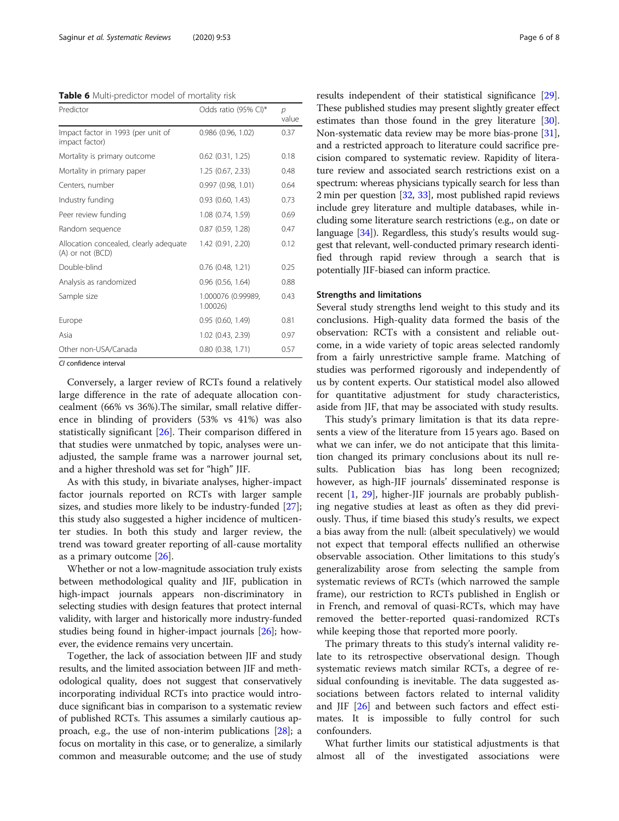<span id="page-5-0"></span>Table 6 Multi-predictor model of mortality risk

| Predictor                                                  | Odds ratio (95% CI)*           | D<br>value |
|------------------------------------------------------------|--------------------------------|------------|
| Impact factor in 1993 (per unit of<br>impact factor)       | $0.986$ (0.96, 1.02)           | 0.37       |
| Mortality is primary outcome                               | $0.62$ $(0.31, 1.25)$          | 0.18       |
| Mortality in primary paper                                 | 1.25(0.67, 2.33)               | 0.48       |
| Centers, number                                            | 0.997(0.98, 1.01)              | 0.64       |
| Industry funding                                           | $0.93$ $(0.60, 1.43)$          | 0.73       |
| Peer review funding                                        | 1.08 (0.74, 1.59)              | 0.69       |
| Random sequence                                            | $0.87$ $(0.59, 1.28)$          | 0.47       |
| Allocation concealed, clearly adequate<br>(A) or not (BCD) | 1.42 (0.91, 2.20)              | 0.12       |
| Double-blind                                               | $0.76$ $(0.48, 1.21)$          | 0.25       |
| Analysis as randomized                                     | $0.96$ $(0.56, 1.64)$          | 0.88       |
| Sample size                                                | 1.000076 (0.99989,<br>1.00026) | 0.43       |
| Europe                                                     | 0.95(0.60, 1.49)               | 0.81       |
| Asia                                                       | 1.02 (0.43, 2.39)              | 0.97       |
| Other non-USA/Canada                                       | $0.80$ $(0.38, 1.71)$          | 0.57       |

CI confidence interval

Conversely, a larger review of RCTs found a relatively large difference in the rate of adequate allocation concealment (66% vs 36%).The similar, small relative difference in blinding of providers (53% vs 41%) was also statistically significant [[26\]](#page-7-0). Their comparison differed in that studies were unmatched by topic, analyses were unadjusted, the sample frame was a narrower journal set, and a higher threshold was set for "high" JIF.

As with this study, in bivariate analyses, higher-impact factor journals reported on RCTs with larger sample sizes, and studies more likely to be industry-funded [\[27](#page-7-0)]; this study also suggested a higher incidence of multicenter studies. In both this study and larger review, the trend was toward greater reporting of all-cause mortality as a primary outcome [[26\]](#page-7-0).

Whether or not a low-magnitude association truly exists between methodological quality and JIF, publication in high-impact journals appears non-discriminatory in selecting studies with design features that protect internal validity, with larger and historically more industry-funded studies being found in higher-impact journals  $[26]$  $[26]$ ; however, the evidence remains very uncertain.

Together, the lack of association between JIF and study results, and the limited association between JIF and methodological quality, does not suggest that conservatively incorporating individual RCTs into practice would introduce significant bias in comparison to a systematic review of published RCTs. This assumes a similarly cautious approach, e.g., the use of non-interim publications [[28](#page-7-0)]; a focus on mortality in this case, or to generalize, a similarly common and measurable outcome; and the use of study results independent of their statistical significance [[29](#page-7-0)]. These published studies may present slightly greater effect estimates than those found in the grey literature [[30](#page-7-0)]. Non-systematic data review may be more bias-prone [[31](#page-7-0)], and a restricted approach to literature could sacrifice precision compared to systematic review. Rapidity of literature review and associated search restrictions exist on a spectrum: whereas physicians typically search for less than 2 min per question [\[32,](#page-7-0) [33\]](#page-7-0), most published rapid reviews include grey literature and multiple databases, while including some literature search restrictions (e.g., on date or language [\[34](#page-7-0)]). Regardless, this study's results would suggest that relevant, well-conducted primary research identified through rapid review through a search that is potentially JIF-biased can inform practice.

#### Strengths and limitations

Several study strengths lend weight to this study and its conclusions. High-quality data formed the basis of the observation: RCTs with a consistent and reliable outcome, in a wide variety of topic areas selected randomly from a fairly unrestrictive sample frame. Matching of studies was performed rigorously and independently of us by content experts. Our statistical model also allowed for quantitative adjustment for study characteristics, aside from JIF, that may be associated with study results.

This study's primary limitation is that its data represents a view of the literature from 15 years ago. Based on what we can infer, we do not anticipate that this limitation changed its primary conclusions about its null results. Publication bias has long been recognized; however, as high-JIF journals' disseminated response is recent [\[1](#page-6-0), [29](#page-7-0)], higher-JIF journals are probably publishing negative studies at least as often as they did previously. Thus, if time biased this study's results, we expect a bias away from the null: (albeit speculatively) we would not expect that temporal effects nullified an otherwise observable association. Other limitations to this study's generalizability arose from selecting the sample from systematic reviews of RCTs (which narrowed the sample frame), our restriction to RCTs published in English or in French, and removal of quasi-RCTs, which may have removed the better-reported quasi-randomized RCTs while keeping those that reported more poorly.

The primary threats to this study's internal validity relate to its retrospective observational design. Though systematic reviews match similar RCTs, a degree of residual confounding is inevitable. The data suggested associations between factors related to internal validity and JIF [[26](#page-7-0)] and between such factors and effect estimates. It is impossible to fully control for such confounders.

What further limits our statistical adjustments is that almost all of the investigated associations were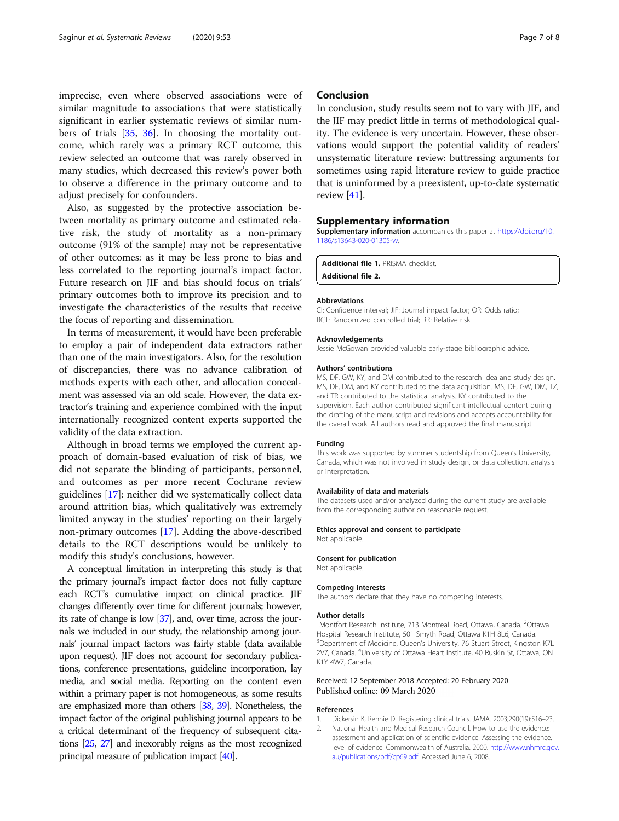<span id="page-6-0"></span>imprecise, even where observed associations were of similar magnitude to associations that were statistically significant in earlier systematic reviews of similar numbers of trials [\[35](#page-7-0), [36](#page-7-0)]. In choosing the mortality outcome, which rarely was a primary RCT outcome, this review selected an outcome that was rarely observed in many studies, which decreased this review's power both to observe a difference in the primary outcome and to adjust precisely for confounders.

Also, as suggested by the protective association between mortality as primary outcome and estimated relative risk, the study of mortality as a non-primary outcome (91% of the sample) may not be representative of other outcomes: as it may be less prone to bias and less correlated to the reporting journal's impact factor. Future research on JIF and bias should focus on trials' primary outcomes both to improve its precision and to investigate the characteristics of the results that receive the focus of reporting and dissemination.

In terms of measurement, it would have been preferable to employ a pair of independent data extractors rather than one of the main investigators. Also, for the resolution of discrepancies, there was no advance calibration of methods experts with each other, and allocation concealment was assessed via an old scale. However, the data extractor's training and experience combined with the input internationally recognized content experts supported the validity of the data extraction.

Although in broad terms we employed the current approach of domain-based evaluation of risk of bias, we did not separate the blinding of participants, personnel, and outcomes as per more recent Cochrane review guidelines [[17\]](#page-7-0): neither did we systematically collect data around attrition bias, which qualitatively was extremely limited anyway in the studies' reporting on their largely non-primary outcomes [\[17](#page-7-0)]. Adding the above-described details to the RCT descriptions would be unlikely to modify this study's conclusions, however.

A conceptual limitation in interpreting this study is that the primary journal's impact factor does not fully capture each RCT's cumulative impact on clinical practice. JIF changes differently over time for different journals; however, its rate of change is low [[37\]](#page-7-0), and, over time, across the journals we included in our study, the relationship among journals' journal impact factors was fairly stable (data available upon request). JIF does not account for secondary publications, conference presentations, guideline incorporation, lay media, and social media. Reporting on the content even within a primary paper is not homogeneous, as some results are emphasized more than others [\[38,](#page-7-0) [39](#page-7-0)]. Nonetheless, the impact factor of the original publishing journal appears to be a critical determinant of the frequency of subsequent citations [\[25,](#page-7-0) [27\]](#page-7-0) and inexorably reigns as the most recognized principal measure of publication impact [\[40](#page-7-0)].

#### Conclusion

In conclusion, study results seem not to vary with JIF, and the JIF may predict little in terms of methodological quality. The evidence is very uncertain. However, these observations would support the potential validity of readers' unsystematic literature review: buttressing arguments for sometimes using rapid literature review to guide practice that is uninformed by a preexistent, up-to-date systematic review [\[41\]](#page-7-0).

#### Supplementary information

Supplementary information accompanies this paper at [https://doi.org/10.](https://doi.org/10.1186/s13643-020-01305-w) [1186/s13643-020-01305-w](https://doi.org/10.1186/s13643-020-01305-w).

Additional file 1. PRISMA checklist. Additional file 2.

#### Abbreviations

CI: Confidence interval; JIF: Journal impact factor; OR: Odds ratio; RCT: Randomized controlled trial; RR: Relative risk

#### Acknowledgements

Jessie McGowan provided valuable early-stage bibliographic advice.

#### Authors' contributions

MS, DF, GW, KY, and DM contributed to the research idea and study design. MS, DF, DM, and KY contributed to the data acquisition. MS, DF, GW, DM, TZ, and TR contributed to the statistical analysis. KY contributed to the supervision. Each author contributed significant intellectual content during the drafting of the manuscript and revisions and accepts accountability for the overall work. All authors read and approved the final manuscript.

#### Funding

This work was supported by summer studentship from Queen's University, Canada, which was not involved in study design, or data collection, analysis or interpretation.

#### Availability of data and materials

The datasets used and/or analyzed during the current study are available from the corresponding author on reasonable request.

#### Ethics approval and consent to participate

Not applicable.

#### Consent for publication

Not applicable.

#### Competing interests

The authors declare that they have no competing interests.

#### Author details

<sup>1</sup>Montfort Research Institute, 713 Montreal Road, Ottawa, Canada. <sup>2</sup>Ottawa Hospital Research Institute, 501 Smyth Road, Ottawa K1H 8L6, Canada. <sup>3</sup>Department of Medicine, Queen's University, 76 Stuart Street, Kingston K7L 2V7, Canada. <sup>4</sup>University of Ottawa Heart Institute, 40 Ruskin St, Ottawa, ON K1Y 4W7, Canada.

#### Received: 12 September 2018 Accepted: 20 February 2020 Published online: 09 March 2020

#### References

- 1. Dickersin K, Rennie D. Registering clinical trials. JAMA. 2003;290(19):516–23.
- 2. National Health and Medical Research Council. How to use the evidence: assessment and application of scientific evidence. Assessing the evidence. level of evidence. Commonwealth of Australia. 2000. [http://www.nhmrc.gov.](http://www.nhmrc.gov.au/publications/pdf/cp69.pdf) [au/publications/pdf/cp69.pdf.](http://www.nhmrc.gov.au/publications/pdf/cp69.pdf) Accessed June 6, 2008.